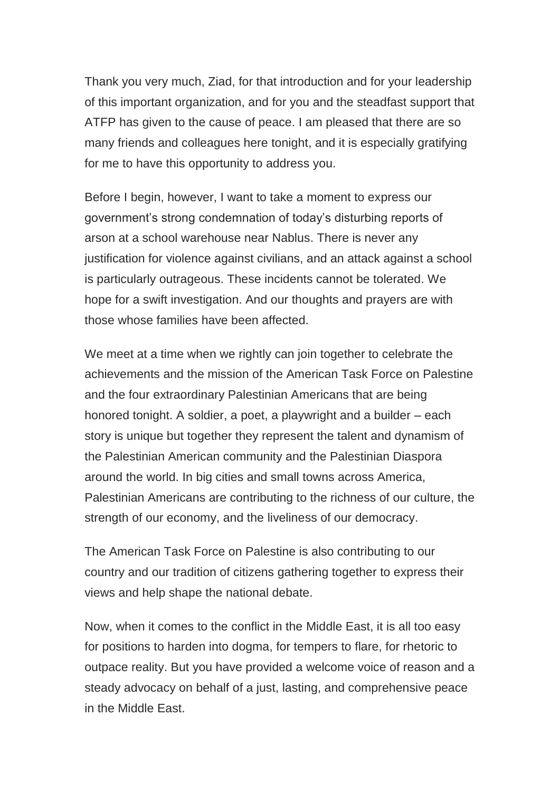Thank you very much, Ziad, for that introduction and for your leadership of this important organization, and for you and the steadfast support that ATFP has given to the cause of peace. I am pleased that there are so many friends and colleagues here tonight, and it is especially gratifying for me to have this opportunity to address you.

Before I begin, however, I want to take a moment to express our government's strong condemnation of today's disturbing reports of arson at a school warehouse near Nablus. There is never any justification for violence against civilians, and an attack against a school is particularly outrageous. These incidents cannot be tolerated. We hope for a swift investigation. And our thoughts and prayers are with those whose families have been affected.

We meet at a time when we rightly can join together to celebrate the achievements and the mission of the American Task Force on Palestine and the four extraordinary Palestinian Americans that are being honored tonight. A soldier, a poet, a playwright and a builder – each story is unique but together they represent the talent and dynamism of the Palestinian American community and the Palestinian Diaspora around the world. In big cities and small towns across America, Palestinian Americans are contributing to the richness of our culture, the strength of our economy, and the liveliness of our democracy.

The American Task Force on Palestine is also contributing to our country and our tradition of citizens gathering together to express their views and help shape the national debate.

Now, when it comes to the conflict in the Middle East, it is all too easy for positions to harden into dogma, for tempers to flare, for rhetoric to outpace reality. But you have provided a welcome voice of reason and a steady advocacy on behalf of a just, lasting, and comprehensive peace in the Middle East.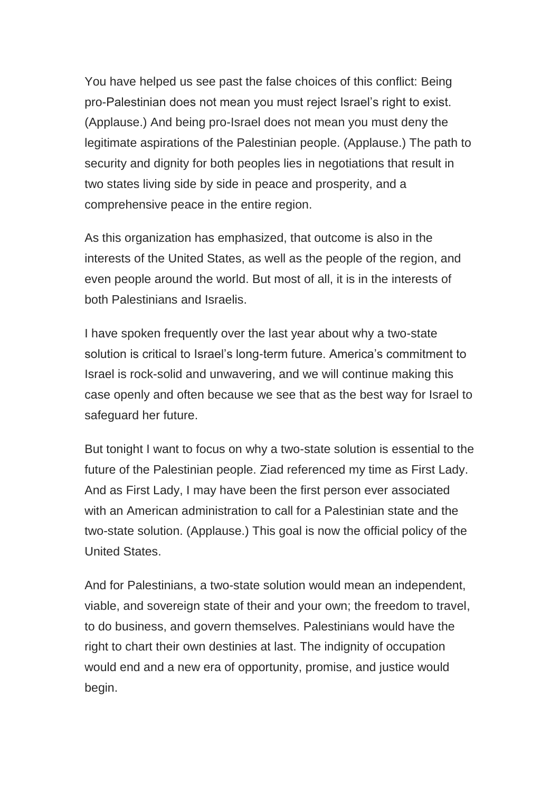You have helped us see past the false choices of this conflict: Being pro-Palestinian does not mean you must reject Israel's right to exist. (Applause.) And being pro-Israel does not mean you must deny the legitimate aspirations of the Palestinian people. (Applause.) The path to security and dignity for both peoples lies in negotiations that result in two states living side by side in peace and prosperity, and a comprehensive peace in the entire region.

As this organization has emphasized, that outcome is also in the interests of the United States, as well as the people of the region, and even people around the world. But most of all, it is in the interests of both Palestinians and Israelis.

I have spoken frequently over the last year about why a two-state solution is critical to Israel's long-term future. America's commitment to Israel is rock-solid and unwavering, and we will continue making this case openly and often because we see that as the best way for Israel to safeguard her future.

But tonight I want to focus on why a two-state solution is essential to the future of the Palestinian people. Ziad referenced my time as First Lady. And as First Lady, I may have been the first person ever associated with an American administration to call for a Palestinian state and the two-state solution. (Applause.) This goal is now the official policy of the United States.

And for Palestinians, a two-state solution would mean an independent, viable, and sovereign state of their and your own; the freedom to travel, to do business, and govern themselves. Palestinians would have the right to chart their own destinies at last. The indignity of occupation would end and a new era of opportunity, promise, and justice would begin.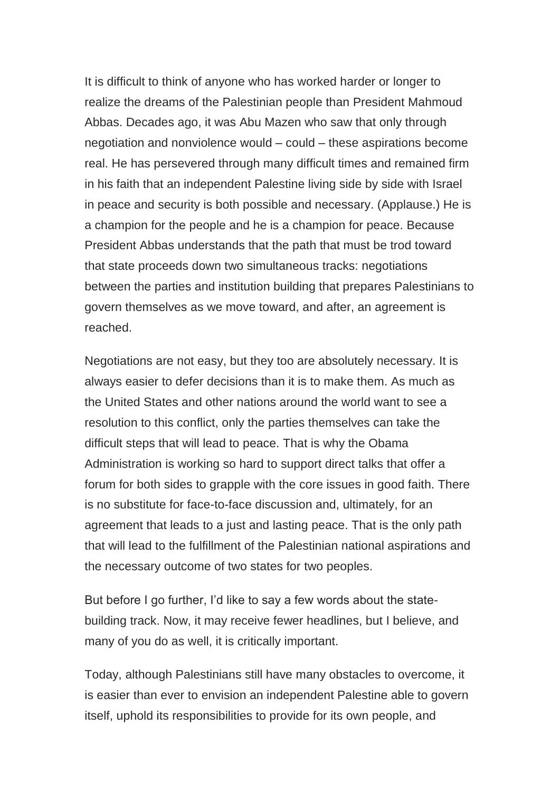It is difficult to think of anyone who has worked harder or longer to realize the dreams of the Palestinian people than President Mahmoud Abbas. Decades ago, it was Abu Mazen who saw that only through negotiation and nonviolence would – could – these aspirations become real. He has persevered through many difficult times and remained firm in his faith that an independent Palestine living side by side with Israel in peace and security is both possible and necessary. (Applause.) He is a champion for the people and he is a champion for peace. Because President Abbas understands that the path that must be trod toward that state proceeds down two simultaneous tracks: negotiations between the parties and institution building that prepares Palestinians to govern themselves as we move toward, and after, an agreement is reached.

Negotiations are not easy, but they too are absolutely necessary. It is always easier to defer decisions than it is to make them. As much as the United States and other nations around the world want to see a resolution to this conflict, only the parties themselves can take the difficult steps that will lead to peace. That is why the Obama Administration is working so hard to support direct talks that offer a forum for both sides to grapple with the core issues in good faith. There is no substitute for face-to-face discussion and, ultimately, for an agreement that leads to a just and lasting peace. That is the only path that will lead to the fulfillment of the Palestinian national aspirations and the necessary outcome of two states for two peoples.

But before I go further, I'd like to say a few words about the statebuilding track. Now, it may receive fewer headlines, but I believe, and many of you do as well, it is critically important.

Today, although Palestinians still have many obstacles to overcome, it is easier than ever to envision an independent Palestine able to govern itself, uphold its responsibilities to provide for its own people, and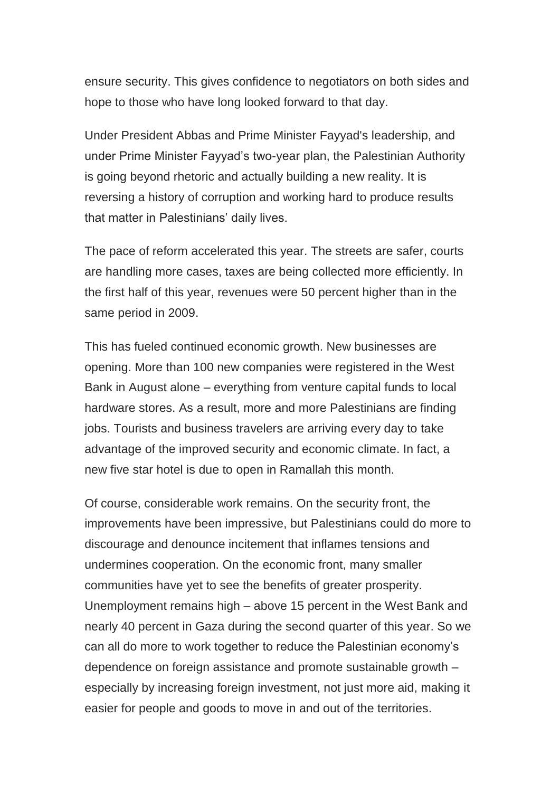ensure security. This gives confidence to negotiators on both sides and hope to those who have long looked forward to that day.

Under President Abbas and Prime Minister Fayyad's leadership, and under Prime Minister Fayyad's two-year plan, the Palestinian Authority is going beyond rhetoric and actually building a new reality. It is reversing a history of corruption and working hard to produce results that matter in Palestinians' daily lives.

The pace of reform accelerated this year. The streets are safer, courts are handling more cases, taxes are being collected more efficiently. In the first half of this year, revenues were 50 percent higher than in the same period in 2009.

This has fueled continued economic growth. New businesses are opening. More than 100 new companies were registered in the West Bank in August alone – everything from venture capital funds to local hardware stores. As a result, more and more Palestinians are finding jobs. Tourists and business travelers are arriving every day to take advantage of the improved security and economic climate. In fact, a new five star hotel is due to open in Ramallah this month.

Of course, considerable work remains. On the security front, the improvements have been impressive, but Palestinians could do more to discourage and denounce incitement that inflames tensions and undermines cooperation. On the economic front, many smaller communities have yet to see the benefits of greater prosperity. Unemployment remains high – above 15 percent in the West Bank and nearly 40 percent in Gaza during the second quarter of this year. So we can all do more to work together to reduce the Palestinian economy's dependence on foreign assistance and promote sustainable growth – especially by increasing foreign investment, not just more aid, making it easier for people and goods to move in and out of the territories.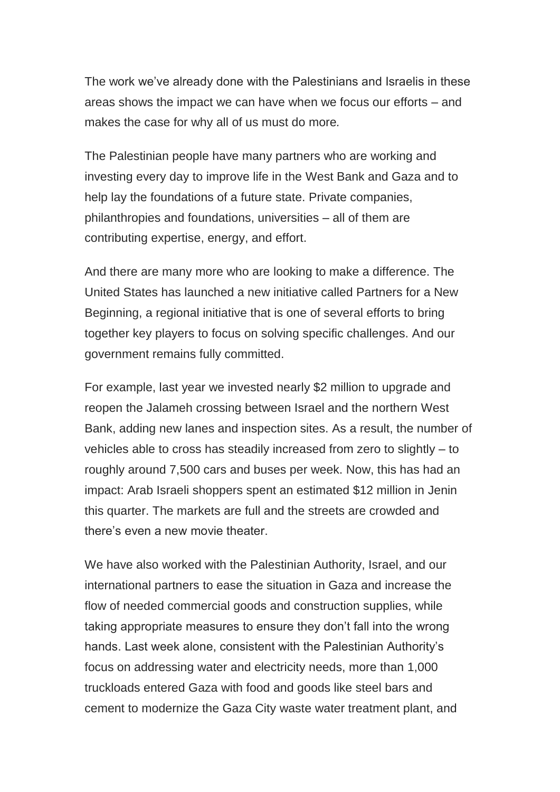The work we've already done with the Palestinians and Israelis in these areas shows the impact we can have when we focus our efforts – and makes the case for why all of us must do more*.*

The Palestinian people have many partners who are working and investing every day to improve life in the West Bank and Gaza and to help lay the foundations of a future state. Private companies, philanthropies and foundations, universities – all of them are contributing expertise, energy, and effort.

And there are many more who are looking to make a difference. The United States has launched a new initiative called Partners for a New Beginning, a regional initiative that is one of several efforts to bring together key players to focus on solving specific challenges. And our government remains fully committed.

For example, last year we invested nearly \$2 million to upgrade and reopen the Jalameh crossing between Israel and the northern West Bank, adding new lanes and inspection sites. As a result, the number of vehicles able to cross has steadily increased from zero to slightly – to roughly around 7,500 cars and buses per week. Now, this has had an impact: Arab Israeli shoppers spent an estimated \$12 million in Jenin this quarter. The markets are full and the streets are crowded and there's even a new movie theater.

We have also worked with the Palestinian Authority, Israel, and our international partners to ease the situation in Gaza and increase the flow of needed commercial goods and construction supplies, while taking appropriate measures to ensure they don't fall into the wrong hands. Last week alone, consistent with the Palestinian Authority's focus on addressing water and electricity needs, more than 1,000 truckloads entered Gaza with food and goods like steel bars and cement to modernize the Gaza City waste water treatment plant, and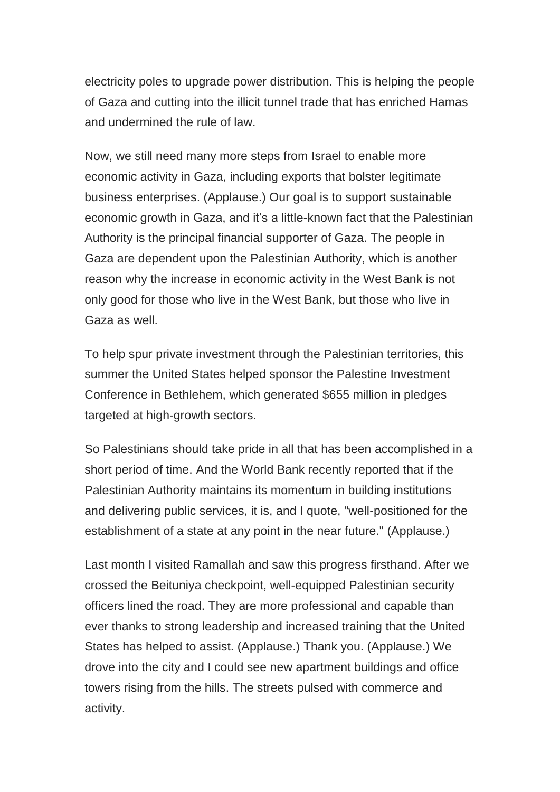electricity poles to upgrade power distribution. This is helping the people of Gaza and cutting into the illicit tunnel trade that has enriched Hamas and undermined the rule of law.

Now, we still need many more steps from Israel to enable more economic activity in Gaza, including exports that bolster legitimate business enterprises. (Applause.) Our goal is to support sustainable economic growth in Gaza, and it's a little-known fact that the Palestinian Authority is the principal financial supporter of Gaza. The people in Gaza are dependent upon the Palestinian Authority, which is another reason why the increase in economic activity in the West Bank is not only good for those who live in the West Bank, but those who live in Gaza as well.

To help spur private investment through the Palestinian territories, this summer the United States helped sponsor the Palestine Investment Conference in Bethlehem, which generated \$655 million in pledges targeted at high-growth sectors.

So Palestinians should take pride in all that has been accomplished in a short period of time. And the World Bank recently reported that if the Palestinian Authority maintains its momentum in building institutions and delivering public services, it is, and I quote, "well-positioned for the establishment of a state at any point in the near future." (Applause.)

Last month I visited Ramallah and saw this progress firsthand. After we crossed the Beituniya checkpoint, well-equipped Palestinian security officers lined the road. They are more professional and capable than ever thanks to strong leadership and increased training that the United States has helped to assist. (Applause.) Thank you. (Applause.) We drove into the city and I could see new apartment buildings and office towers rising from the hills. The streets pulsed with commerce and activity.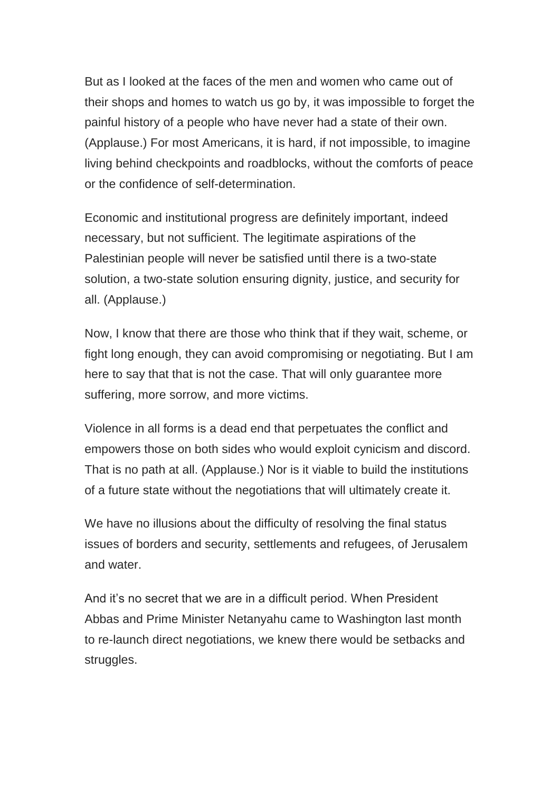But as I looked at the faces of the men and women who came out of their shops and homes to watch us go by, it was impossible to forget the painful history of a people who have never had a state of their own. (Applause.) For most Americans, it is hard, if not impossible, to imagine living behind checkpoints and roadblocks, without the comforts of peace or the confidence of self-determination.

Economic and institutional progress are definitely important, indeed necessary, but not sufficient. The legitimate aspirations of the Palestinian people will never be satisfied until there is a two-state solution, a two-state solution ensuring dignity, justice, and security for all. (Applause.)

Now, I know that there are those who think that if they wait, scheme, or fight long enough, they can avoid compromising or negotiating. But I am here to say that that is not the case. That will only guarantee more suffering, more sorrow, and more victims.

Violence in all forms is a dead end that perpetuates the conflict and empowers those on both sides who would exploit cynicism and discord. That is no path at all. (Applause.) Nor is it viable to build the institutions of a future state without the negotiations that will ultimately create it.

We have no illusions about the difficulty of resolving the final status issues of borders and security, settlements and refugees, of Jerusalem and water.

And it's no secret that we are in a difficult period. When President Abbas and Prime Minister Netanyahu came to Washington last month to re-launch direct negotiations, we knew there would be setbacks and struggles.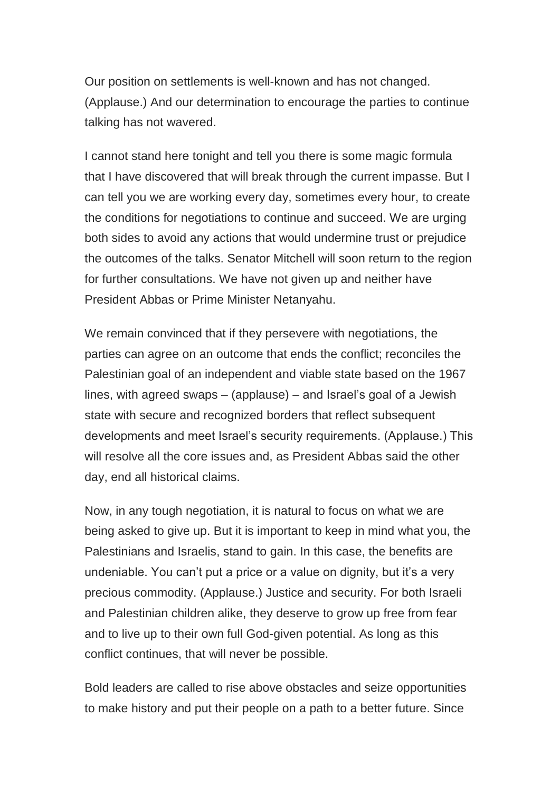Our position on settlements is well-known and has not changed. (Applause.) And our determination to encourage the parties to continue talking has not wavered.

I cannot stand here tonight and tell you there is some magic formula that I have discovered that will break through the current impasse. But I can tell you we are working every day, sometimes every hour, to create the conditions for negotiations to continue and succeed. We are urging both sides to avoid any actions that would undermine trust or prejudice the outcomes of the talks. Senator Mitchell will soon return to the region for further consultations. We have not given up and neither have President Abbas or Prime Minister Netanyahu.

We remain convinced that if they persevere with negotiations, the parties can agree on an outcome that ends the conflict; reconciles the Palestinian goal of an independent and viable state based on the 1967 lines, with agreed swaps – (applause) – and Israel's goal of a Jewish state with secure and recognized borders that reflect subsequent developments and meet Israel's security requirements. (Applause.) This will resolve all the core issues and, as President Abbas said the other day, end all historical claims.

Now, in any tough negotiation, it is natural to focus on what we are being asked to give up. But it is important to keep in mind what you, the Palestinians and Israelis, stand to gain. In this case, the benefits are undeniable. You can't put a price or a value on dignity, but it's a very precious commodity. (Applause.) Justice and security. For both Israeli and Palestinian children alike, they deserve to grow up free from fear and to live up to their own full God-given potential. As long as this conflict continues, that will never be possible.

Bold leaders are called to rise above obstacles and seize opportunities to make history and put their people on a path to a better future. Since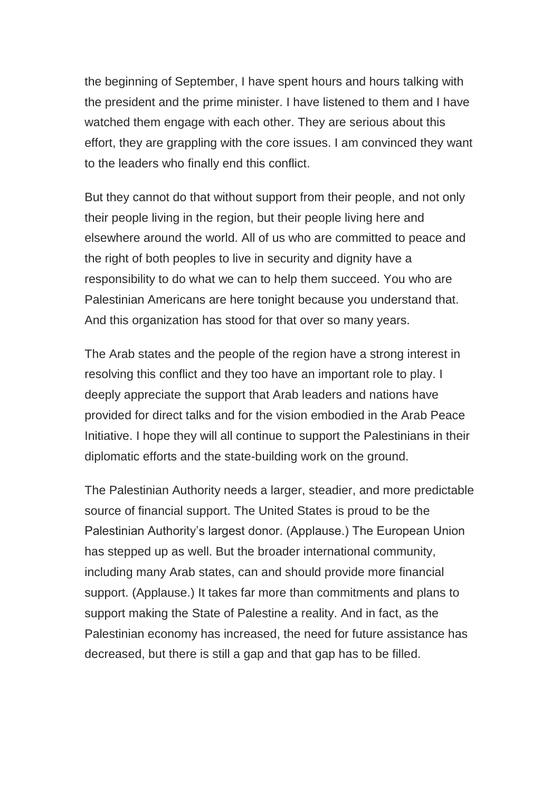the beginning of September, I have spent hours and hours talking with the president and the prime minister. I have listened to them and I have watched them engage with each other. They are serious about this effort, they are grappling with the core issues. I am convinced they want to the leaders who finally end this conflict.

But they cannot do that without support from their people, and not only their people living in the region, but their people living here and elsewhere around the world. All of us who are committed to peace and the right of both peoples to live in security and dignity have a responsibility to do what we can to help them succeed. You who are Palestinian Americans are here tonight because you understand that. And this organization has stood for that over so many years.

The Arab states and the people of the region have a strong interest in resolving this conflict and they too have an important role to play. I deeply appreciate the support that Arab leaders and nations have provided for direct talks and for the vision embodied in the Arab Peace Initiative. I hope they will all continue to support the Palestinians in their diplomatic efforts and the state-building work on the ground.

The Palestinian Authority needs a larger, steadier, and more predictable source of financial support. The United States is proud to be the Palestinian Authority's largest donor. (Applause.) The European Union has stepped up as well. But the broader international community, including many Arab states, can and should provide more financial support. (Applause.) It takes far more than commitments and plans to support making the State of Palestine a reality. And in fact, as the Palestinian economy has increased, the need for future assistance has decreased, but there is still a gap and that gap has to be filled.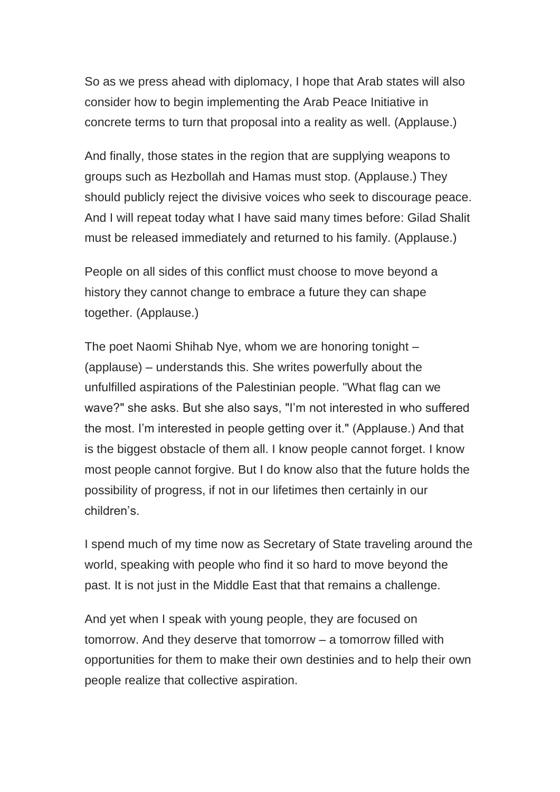So as we press ahead with diplomacy, I hope that Arab states will also consider how to begin implementing the Arab Peace Initiative in concrete terms to turn that proposal into a reality as well. (Applause.)

And finally, those states in the region that are supplying weapons to groups such as Hezbollah and Hamas must stop. (Applause.) They should publicly reject the divisive voices who seek to discourage peace. And I will repeat today what I have said many times before: Gilad Shalit must be released immediately and returned to his family. (Applause.)

People on all sides of this conflict must choose to move beyond a history they cannot change to embrace a future they can shape together. (Applause.)

The poet Naomi Shihab Nye, whom we are honoring tonight – (applause) – understands this. She writes powerfully about the unfulfilled aspirations of the Palestinian people. "What flag can we wave?" she asks. But she also says, "I'm not interested in who suffered the most. I'm interested in people getting over it." (Applause.) And that is the biggest obstacle of them all. I know people cannot forget. I know most people cannot forgive. But I do know also that the future holds the possibility of progress, if not in our lifetimes then certainly in our children's.

I spend much of my time now as Secretary of State traveling around the world, speaking with people who find it so hard to move beyond the past. It is not just in the Middle East that that remains a challenge.

And yet when I speak with young people, they are focused on tomorrow. And they deserve that tomorrow – a tomorrow filled with opportunities for them to make their own destinies and to help their own people realize that collective aspiration.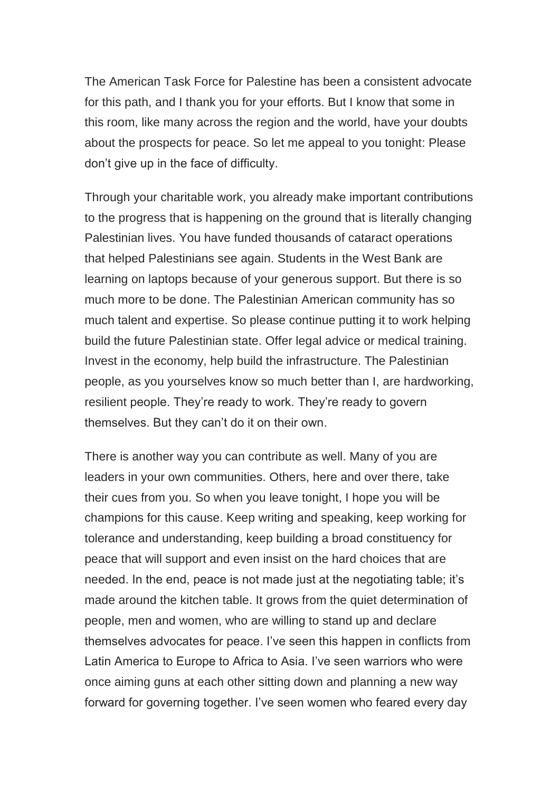The American Task Force for Palestine has been a consistent advocate for this path, and I thank you for your efforts. But I know that some in this room, like many across the region and the world, have your doubts about the prospects for peace. So let me appeal to you tonight: Please don't give up in the face of difficulty.

Through your charitable work, you already make important contributions to the progress that is happening on the ground that is literally changing Palestinian lives. You have funded thousands of cataract operations that helped Palestinians see again. Students in the West Bank are learning on laptops because of your generous support. But there is so much more to be done. The Palestinian American community has so much talent and expertise. So please continue putting it to work helping build the future Palestinian state. Offer legal advice or medical training. Invest in the economy, help build the infrastructure. The Palestinian people, as you yourselves know so much better than I, are hardworking, resilient people. They're ready to work. They're ready to govern themselves. But they can't do it on their own.

There is another way you can contribute as well. Many of you are leaders in your own communities. Others, here and over there, take their cues from you. So when you leave tonight, I hope you will be champions for this cause. Keep writing and speaking, keep working for tolerance and understanding, keep building a broad constituency for peace that will support and even insist on the hard choices that are needed. In the end, peace is not made just at the negotiating table; it's made around the kitchen table. It grows from the quiet determination of people, men and women, who are willing to stand up and declare themselves advocates for peace. I've seen this happen in conflicts from Latin America to Europe to Africa to Asia. I've seen warriors who were once aiming guns at each other sitting down and planning a new way forward for governing together. I've seen women who feared every day